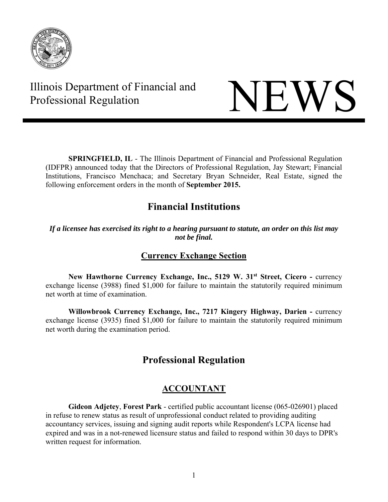

# Illinois Department of Financial and Thinois Department of Financial and<br>Professional Regulation



**SPRINGFIELD, IL** - The Illinois Department of Financial and Professional Regulation (IDFPR) announced today that the Directors of Professional Regulation, Jay Stewart; Financial Institutions, Francisco Menchaca; and Secretary Bryan Schneider, Real Estate, signed the following enforcement orders in the month of **September 2015.** 

# **Financial Institutions**

#### *If a licensee has exercised its right to a hearing pursuant to statute, an order on this list may not be final.*

# **Currency Exchange Section**

**New Hawthorne Currency Exchange, Inc., 5129 W. 31<sup>st</sup> Street, Cicero - currency** exchange license (3988) fined \$1,000 for failure to maintain the statutorily required minimum net worth at time of examination.

 **Willowbrook Currency Exchange, Inc., 7217 Kingery Highway, Darien -** currency exchange license (3935) fined \$1,000 for failure to maintain the statutorily required minimum net worth during the examination period.

# **Professional Regulation**

# **ACCOUNTANT**

**Gideon Adjetey**, **Forest Park** - certified public accountant license (065-026901) placed in refuse to renew status as result of unprofessional conduct related to providing auditing accountancy services, issuing and signing audit reports while Respondent's LCPA license had expired and was in a not-renewed licensure status and failed to respond within 30 days to DPR's written request for information.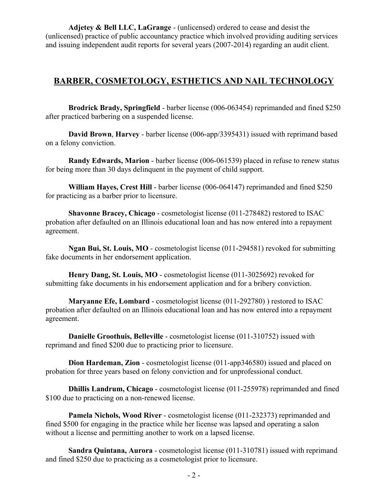**Adjetey & Bell LLC, LaGrange** - (unlicensed) ordered to cease and desist the (unlicensed) practice of public accountancy practice which involved providing auditing services and issuing independent audit reports for several years (2007-2014) regarding an audit client.

#### **BARBER, COSMETOLOGY, ESTHETICS AND NAIL TECHNOLOGY**

**Brodrick Brady, Springfield** - barber license (006-063454) reprimanded and fined \$250 after practiced barbering on a suspended license.

**David Brown**, **Harvey** - barber license (006-app/3395431) issued with reprimand based on a felony conviction.

**Randy Edwards, Marion** - barber license (006-061539) placed in refuse to renew status for being more than 30 days delinquent in the payment of child support.

**William Hayes, Crest Hill** - barber license (006-064147) reprimanded and fined \$250 for practicing as a barber prior to licensure.

**Shavonne Bracey, Chicago** - cosmetologist license (011-278482) restored to ISAC probation after defaulted on an Illinois educational loan and has now entered into a repayment agreement.

**Ngan Bui, St. Louis, MO** - cosmetologist license (011-294581) revoked for submitting fake documents in her endorsement application.

**Henry Dang, St. Louis, MO** - cosmetologist license (011-3025692) revoked for submitting fake documents in his endorsement application and for a bribery conviction.

**Maryanne Efe, Lombard** - cosmetologist license (011-292780) ) restored to ISAC probation after defaulted on an Illinois educational loan and has now entered into a repayment agreement.

**Danielle Groothuis, Belleville** - cosmetologist license (011-310752) issued with reprimand and fined \$200 due to practicing prior to licensure.

**Dion Hardeman, Zion** - cosmetologist license (011-app346580) issued and placed on probation for three years based on felony conviction and for unprofessional conduct.

**Dhillis Landrum, Chicago** - cosmetologist license (011-255978) reprimanded and fined \$100 due to practicing on a non-renewed license.

**Pamela Nichols, Wood River** - cosmetologist license (011-232373) reprimanded and fined \$500 for engaging in the practice while her license was lapsed and operating a salon without a license and permitting another to work on a lapsed license.

**Sandra Quintana, Aurora** - cosmetologist license (011-310781) issued with reprimand and fined \$250 due to practicing as a cosmetologist prior to licensure.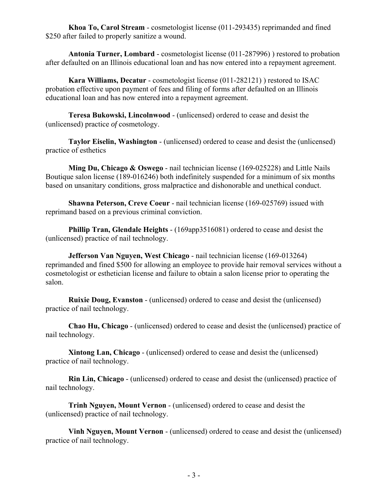**Khoa To, Carol Stream** - cosmetologist license (011-293435) reprimanded and fined \$250 after failed to properly sanitize a wound.

**Antonia Turner, Lombard** - cosmetologist license (011-287996) ) restored to probation after defaulted on an Illinois educational loan and has now entered into a repayment agreement.

**Kara Williams, Decatur** - cosmetologist license (011-282121) ) restored to ISAC probation effective upon payment of fees and filing of forms after defaulted on an Illinois educational loan and has now entered into a repayment agreement.

**Teresa Bukowski, Lincolnwood** - (unlicensed) ordered to cease and desist the (unlicensed) practice *of* cosmetology.

**Taylor Eiselin, Washington** - (unlicensed) ordered to cease and desist the (unlicensed) practice of esthetics

**Ming Du, Chicago & Oswego** - nail technician license (169-025228) and Little Nails Boutique salon license (189-016246) both indefinitely suspended for a minimum of six months based on unsanitary conditions, gross malpractice and dishonorable and unethical conduct.

**Shawna Peterson, Creve Coeur** - nail technician license (169-025769) issued with reprimand based on a previous criminal conviction.

**Phillip Tran, Glendale Heights** - (169app3516081) ordered to cease and desist the (unlicensed) practice of nail technology.

**Jefferson Van Nguyen, West Chicago** - nail technician license (169-013264) reprimanded and fined \$500 for allowing an employee to provide hair removal services without a cosmetologist or esthetician license and failure to obtain a salon license prior to operating the salon.

**Ruixie Doug, Evanston** - (unlicensed) ordered to cease and desist the (unlicensed) practice of nail technology.

**Chao Hu, Chicago** - (unlicensed) ordered to cease and desist the (unlicensed) practice of nail technology.

**Xintong Lan, Chicago** - (unlicensed) ordered to cease and desist the (unlicensed) practice of nail technology.

**Rin Lin, Chicago** - (unlicensed) ordered to cease and desist the (unlicensed) practice of nail technology.

**Trinh Nguyen, Mount Vernon** - (unlicensed) ordered to cease and desist the (unlicensed) practice of nail technology.

**Vinh Nguyen, Mount Vernon** - (unlicensed) ordered to cease and desist the (unlicensed) practice of nail technology.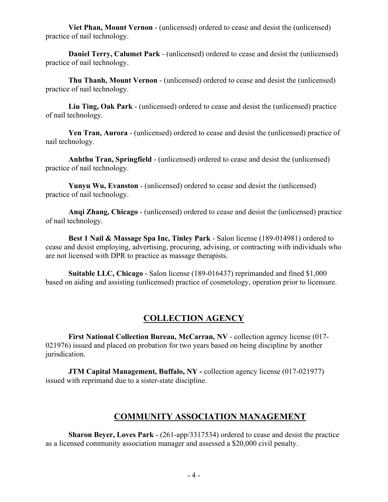**Viet Phan, Mount Vernon** - (unlicensed) ordered to cease and desist the (unlicensed) practice of nail technology.

**Daniel Terry, Calumet Park -** (unlicensed) ordered to cease and desist the (unlicensed) practice of nail technology.

**Thu Thanh, Mount Vernon** - (unlicensed) ordered to cease and desist the (unlicensed) practice of nail technology.

**Liu Ting, Oak Park** - (unlicensed) ordered to cease and desist the (unlicensed) practice of nail technology.

**Yen Tran, Aurora** - (unlicensed) ordered to cease and desist the (unlicensed) practice of nail technology.

**Anhthu Tran, Springfield** - (unlicensed) ordered to cease and desist the (unlicensed) practice of nail technology.

**Yunyu Wu, Evanston** - (unlicensed) ordered to cease and desist the (unlicensed) practice of nail technology.

**Anqi Zhang, Chicago** - (unlicensed) ordered to cease and desist the (unlicensed) practice of nail technology.

**Best 1 Nail & Massage Spa Inc, Tinley Park** - Salon license (189-014981) ordered to cease and desist employing, advertising, procuring, advising, or contracting with individuals who are not licensed with DPR to practice as massage therapists.

**Suitable LLC, Chicago** - Salon license (189-016437) reprimanded and fined \$1,000 based on aiding and assisting (unlicensed) practice of cosmetology, operation prior to licensure.

# **COLLECTION AGENCY**

**First National Collection Bureau, McCarran, NV** - collection agency license (017- 021976) issued and placed on probation for two years based on being discipline by another jurisdication.

**JTM Capital Management, Buffalo, NY** - collection agency license (017-021977) issued with reprimand due to a sister-state discipline.

# **COMMUNITY ASSOCIATION MANAGEMENT**

**Sharon Beyer, Loves Park** - (261-app/3317534) ordered to cease and desist the practice as a licensed community association manager and assessed a \$20,000 civil penalty.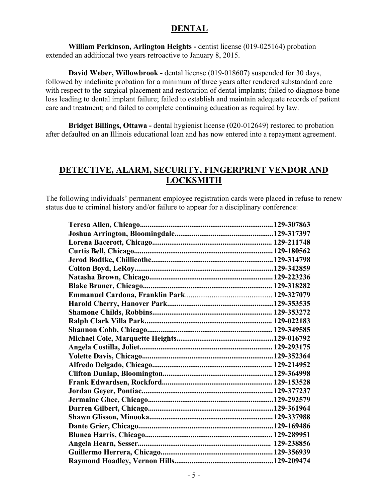#### **DENTAL**

**William Perkinson, Arlington Heights -** dentist license (019-025164) probation extended an additional two years retroactive to January 8, 2015.

**David Weber, Willowbrook -** dental license (019-018607) suspended for 30 days, followed by indefinite probation for a minimum of three years after rendered substandard care with respect to the surgical placement and restoration of dental implants; failed to diagnose bone loss leading to dental implant failure; failed to establish and maintain adequate records of patient care and treatment; and failed to complete continuing education as required by law.

**Bridget Billings, Ottawa -** dental hygienist license (020-012649) restored to probation after defaulted on an Illinois educational loan and has now entered into a repayment agreement.

#### **DETECTIVE, ALARM, SECURITY, FINGERPRINT VENDOR AND LOCKSMITH**

The following individuals' permanent employee registration cards were placed in refuse to renew status due to criminal history and/or failure to appear for a disciplinary conference: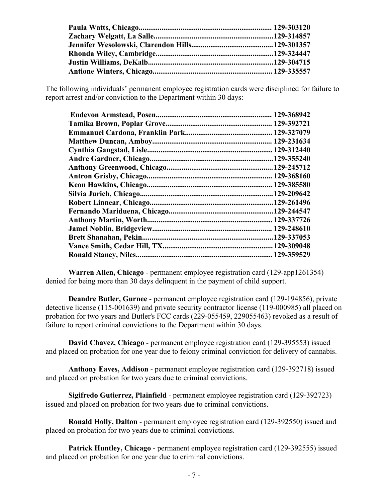The following individuals' permanent employee registration cards were disciplined for failure to report arrest and/or conviction to the Department within 30 days:

**Warren Allen, Chicago** - permanent employee registration card (129-app1261354) denied for being more than 30 days delinquent in the payment of child support.

 **Deandre Butler, Gurnee** - permanent employee registration card (129-194856), private detective license (115-001639) and private security contractor license (119-000985) all placed on probation for two years and Butler's FCC cards (229-055459, 229055463) revoked as a result of failure to report criminal convictions to the Department within 30 days.

**David Chavez, Chicago** - permanent employee registration card (129-395553) issued and placed on probation for one year due to felony criminal conviction for delivery of cannabis.

**Anthony Eaves, Addison** - permanent employee registration card (129-392718) issued and placed on probation for two years due to criminal convictions.

**Sigifredo Gutierrez, Plainfield** - permanent employee registration card (129-392723) issued and placed on probation for two years due to criminal convictions.

**Ronald Holly, Dalton** - permanent employee registration card (129-392550) issued and placed on probation for two years due to criminal convictions.

**Patrick Huntley, Chicago** - permanent employee registration card (129-392555) issued and placed on probation for one year due to criminal convictions.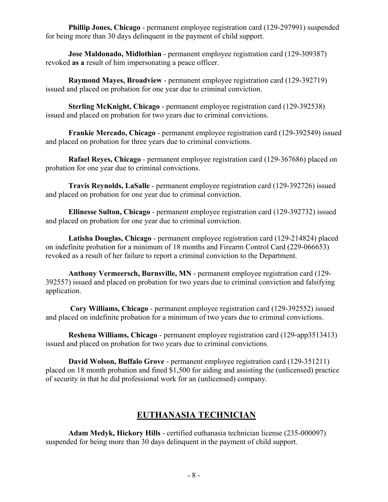**Phillip Jones, Chicago** - permanent employee registration card (129-297991) suspended for being more than 30 days delinquent in the payment of child support.

**Jose Maldonado, Midlothian** - permanent employee registration card (129-309387) revoked **as a** result of him impersonating a peace officer.

**Raymond Mayes, Broadview** - permanent employee registration card (129-392719) issued and placed on probation for one year due to criminal conviction.

**Sterling McKnight, Chicago** - permanent employee registration card (129-392538) issued and placed on probation for two years due to criminal convictions.

**Frankie Mercado, Chicago** - permanent employee registration card (129-392549) issued and placed on probation for three years due to criminal convictions.

**Rafael Reyes, Chicago** - permanent employee registration card (129-367686) placed on probation for one year due to criminal convictions.

**Travis Reynolds, LaSalle** - permanent employee registration card (129-392726) issued and placed on probation for one year due to criminal conviction.

**Ellinesse Sulton, Chicago** - permanent employee registration card (129-392732) issued and placed on probation for one year due to criminal conviction.

**Latisha Douglas, Chicago** - permanent employee registration card (129-214824) placed on indefinite probation for a minimum of 18 months and Firearm Control Card (229-066653) revoked as a result of her failure to report a criminal conviction to the Department.

**Anthony Vermeersch, Burnsville, MN** - permanent employee registration card (129- 392557) issued and placed on probation for two years due to criminal conviction and falsifying application.

 **Cory Williams, Chicago** - permanent employee registration card (129-392552) issued and placed on indefinite probation for a minimum of two years due to criminal convictions.

**Reshena Williams, Chicago** - permanent employee registration card (129-app3513413) issued and placed on probation for two years due to criminal convictions.

**David Wolson, Buffalo Grove** - permanent employee registration card (129-351211) placed on 18 month probation and fined \$1,500 for aiding and assisting the (unlicensed) practice of security in that he did professional work for an (unlicensed) company.

# **EUTHANASIA TECHNICIAN**

**Adam Medyk, Hickory Hills** - certified euthanasia technician license (235-000097) suspended for being more than 30 days delinquent in the payment of child support.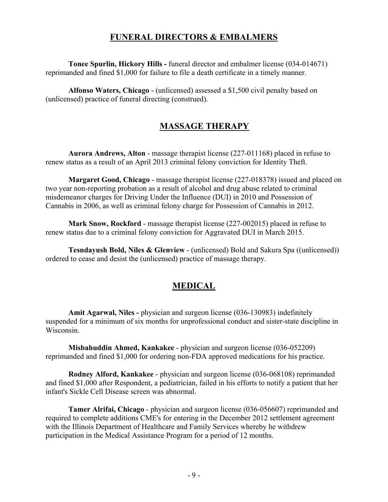#### **FUNERAL DIRECTORS & EMBALMERS**

**Tonee Spurlin, Hickory Hills -** funeral director and embalmer license (034-014671) reprimanded and fined \$1,000 for failure to file a death certificate in a timely manner.

**Alfonso Waters, Chicago** - (unlicensed) assessed a \$1,500 civil penalty based on (unlicensed) practice of funeral directing (construed).

# **MASSAGE THERAPY**

**Aurora Andrews, Alton** - massage therapist license (227-011168) placed in refuse to renew status as a result of an April 2013 criminal felony conviction for Identity Theft.

**Margaret Good, Chicago** - massage therapist license (227-018378) issued and placed on two year non-reporting probation as a result of alcohol and drug abuse related to criminal misdemeanor charges for Driving Under the Influence (DUI) in 2010 and Possession of Cannabis in 2006, as well as criminal felony charge for Possession of Cannabis in 2012.

**Mark Snow, Rockford** - massage therapist license (227-002015) placed in refuse to renew status due to a criminal felony conviction for Aggravated DUI in March 2015.

**Tesndayush Bold, Niles & Glenview** - (unlicensed) Bold and Sakura Spa ((unlicensed)) ordered to cease and desist the (unlicensed) practice of massage therapy.

# **MEDICAL**

 **Amit Agarwal, Niles -** physician and surgeon license (036-130983) indefinitely suspended for a minimum of six months for unprofessional conduct and sister-state discipline in Wisconsin.

**Misbahuddin Ahmed, Kankakee** - physician and surgeon license (036-052209) reprimanded and fined \$1,000 for ordering non-FDA approved medications for his practice.

**Rodney Alford, Kankakee** - physician and surgeon license (036-068108) reprimanded and fined \$1,000 after Respondent, a pediatrician, failed in his efforts to notify a patient that her infant's Sickle Cell Disease screen was abnormal.

**Tamer Alrifai, Chicago** - physician and surgeon license (036-056607) reprimanded and required to complete additions CME's for entering in the December 2012 settlement agreement with the Illinois Department of Healthcare and Family Services whereby he withdrew participation in the Medical Assistance Program for a period of 12 months.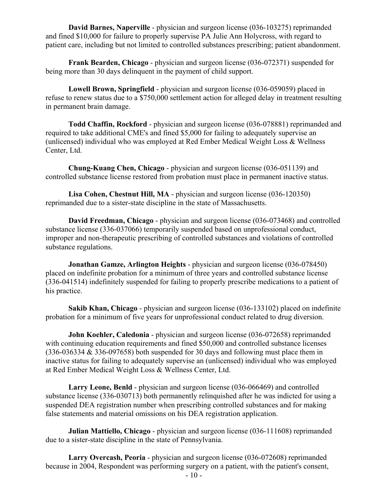**David Barnes, Naperville** - physician and surgeon license (036-103275) reprimanded and fined \$10,000 for failure to properly supervise PA Julie Ann Holycross, with regard to patient care, including but not limited to controlled substances prescribing; patient abandonment.

**Frank Bearden, Chicago** - physician and surgeon license (036-072371) suspended for being more than 30 days delinquent in the payment of child support.

**Lowell Brown, Springfield** - physician and surgeon license (036-059059) placed in refuse to renew status due to a \$750,000 settlement action for alleged delay in treatment resulting in permanent brain damage.

**Todd Chaffin, Rockford** - physician and surgeon license (036-078881) reprimanded and required to take additional CME's and fined \$5,000 for failing to adequately supervise an (unlicensed) individual who was employed at Red Ember Medical Weight Loss & Wellness Center, Ltd.

**Chung-Kuang Chen, Chicago** - physician and surgeon license (036-051139) and controlled substance license restored from probation must place in permanent inactive status.

**Lisa Cohen, Chestnut Hill, MA** - physician and surgeon license (036-120350) reprimanded due to a sister-state discipline in the state of Massachusetts.

**David Freedman, Chicago** - physician and surgeon license (036-073468) and controlled substance license (336-037066) temporarily suspended based on unprofessional conduct, improper and non-therapeutic prescribing of controlled substances and violations of controlled substance regulations.

**Jonathan Gamze, Arlington Heights** - physician and surgeon license (036-078450) placed on indefinite probation for a minimum of three years and controlled substance license (336-041514) indefinitely suspended for failing to properly prescribe medications to a patient of his practice.

**Sakib Khan, Chicago** - physician and surgeon license (036-133102) placed on indefinite probation for a minimum of five years for unprofessional conduct related to drug diversion.

**John Koehler, Caledonia** - physician and surgeon license (036-072658) reprimanded with continuing education requirements and fined \$50,000 and controlled substance licenses (336-036334 & 336-097658) both suspended for 30 days and following must place them in inactive status for failing to adequately supervise an (unlicensed) individual who was employed at Red Ember Medical Weight Loss & Wellness Center, Ltd.

**Larry Leone, Benld** - physician and surgeon license (036-066469) and controlled substance license (336-030713) both permanently relinquished after he was indicted for using a suspended DEA registration number when prescribing controlled substances and for making false statements and material omissions on his DEA registration application.

**Julian Mattiello, Chicago** - physician and surgeon license (036-111608) reprimanded due to a sister-state discipline in the state of Pennsylvania.

**Larry Overcash, Peoria** - physician and surgeon license (036-072608) reprimanded because in 2004, Respondent was performing surgery on a patient, with the patient's consent,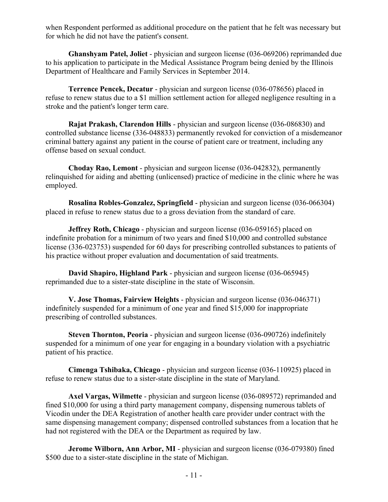when Respondent performed as additional procedure on the patient that he felt was necessary but for which he did not have the patient's consent.

**Ghanshyam Patel, Joliet** - physician and surgeon license (036-069206) reprimanded due to his application to participate in the Medical Assistance Program being denied by the Illinois Department of Healthcare and Family Services in September 2014.

**Terrence Pencek, Decatur** - physician and surgeon license (036-078656) placed in refuse to renew status due to a \$1 million settlement action for alleged negligence resulting in a stroke and the patient's longer term care.

**Rajat Prakash, Clarendon Hills** - physician and surgeon license (036-086830) and controlled substance license (336-048833) permanently revoked for conviction of a misdemeanor criminal battery against any patient in the course of patient care or treatment, including any offense based on sexual conduct.

**Choday Rao, Lemont** - physician and surgeon license (036-042832), permanently relinquished for aiding and abetting (unlicensed) practice of medicine in the clinic where he was employed.

**Rosalina Robles-Gonzalez, Springfield** - physician and surgeon license (036-066304) placed in refuse to renew status due to a gross deviation from the standard of care.

**Jeffrey Roth, Chicago** - physician and surgeon license (036-059165) placed on indefinite probation for a minimum of two years and fined \$10,000 and controlled substance license (336-023753) suspended for 60 days for prescribing controlled substances to patients of his practice without proper evaluation and documentation of said treatments.

**David Shapiro, Highland Park** - physician and surgeon license (036-065945) reprimanded due to a sister-state discipline in the state of Wisconsin.

**V. Jose Thomas, Fairview Heights** - physician and surgeon license (036-046371) indefinitely suspended for a minimum of one year and fined \$15,000 for inappropriate prescribing of controlled substances.

**Steven Thornton, Peoria** - physician and surgeon license (036-090726) indefinitely suspended for a minimum of one year for engaging in a boundary violation with a psychiatric patient of his practice.

**Cimenga Tshibaka, Chicago** - physician and surgeon license (036-110925) placed in refuse to renew status due to a sister-state discipline in the state of Maryland.

**Axel Vargas, Wilmette** - physician and surgeon license (036-089572) reprimanded and fined \$10,000 for using a third party management company, dispensing numerous tablets of Vicodin under the DEA Registration of another health care provider under contract with the same dispensing management company; dispensed controlled substances from a location that he had not registered with the DEA or the Department as required by law.

**Jerome Wilborn, Ann Arbor, MI** - physician and surgeon license (036-079380) fined \$500 due to a sister-state discipline in the state of Michigan.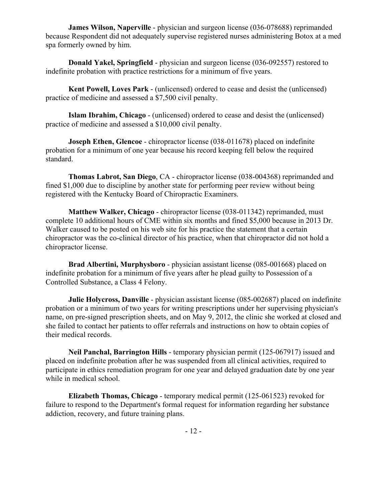**James Wilson, Naperville** - physician and surgeon license (036-078688) reprimanded because Respondent did not adequately supervise registered nurses administering Botox at a med spa formerly owned by him.

**Donald Yakel, Springfield** - physician and surgeon license (036-092557) restored to indefinite probation with practice restrictions for a minimum of five years.

**Kent Powell, Loves Park** - (unlicensed) ordered to cease and desist the (unlicensed) practice of medicine and assessed a \$7,500 civil penalty.

**Islam Ibrahim, Chicago** - (unlicensed) ordered to cease and desist the (unlicensed) practice of medicine and assessed a \$10,000 civil penalty.

**Joseph Ethen, Glencoe** - chiropractor license (038-011678) placed on indefinite probation for a minimum of one year because his record keeping fell below the required standard.

**Thomas Labrot, San Diego**, CA - chiropractor license (038-004368) reprimanded and fined \$1,000 due to discipline by another state for performing peer review without being registered with the Kentucky Board of Chiropractic Examiners.

**Matthew Walker, Chicago** - chiropractor license (038-011342) reprimanded, must complete 10 additional hours of CME within six months and fined \$5,000 because in 2013 Dr. Walker caused to be posted on his web site for his practice the statement that a certain chiropractor was the co-clinical director of his practice, when that chiropractor did not hold a chiropractor license.

**Brad Albertini, Murphysboro** - physician assistant license (085-001668) placed on indefinite probation for a minimum of five years after he plead guilty to Possession of a Controlled Substance, a Class 4 Felony.

**Julie Holycross, Danville** - physician assistant license (085-002687) placed on indefinite probation or a minimum of two years for writing prescriptions under her supervising physician's name, on pre-signed prescription sheets, and on May 9, 2012, the clinic she worked at closed and she failed to contact her patients to offer referrals and instructions on how to obtain copies of their medical records.

**Neil Panchal, Barrington Hills** - temporary physician permit (125-067917) issued and placed on indefinite probation after he was suspended from all clinical activities, required to participate in ethics remediation program for one year and delayed graduation date by one year while in medical school.

**Elizabeth Thomas, Chicago** - temporary medical permit (125-061523) revoked for failure to respond to the Department's formal request for information regarding her substance addiction, recovery, and future training plans.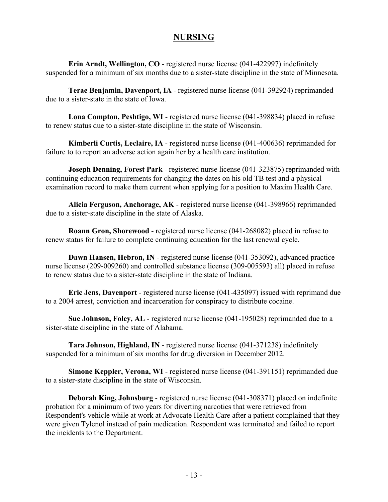#### **NURSING**

**Erin Arndt, Wellington, CO** - registered nurse license (041-422997) indefinitely suspended for a minimum of six months due to a sister-state discipline in the state of Minnesota.

**Terae Benjamin, Davenport, IA** - registered nurse license (041-392924) reprimanded due to a sister-state in the state of Iowa.

**Lona Compton, Peshtigo, WI** - registered nurse license (041-398834) placed in refuse to renew status due to a sister-state discipline in the state of Wisconsin.

**Kimberli Curtis, Leclaire, IA** - registered nurse license (041-400636) reprimanded for failure to to report an adverse action again her by a health care institution.

**Joseph Denning, Forest Park** - registered nurse license (041-323875) reprimanded with continuing education requirements for changing the dates on his old TB test and a physical examination record to make them current when applying for a position to Maxim Health Care.

**Alicia Ferguson, Anchorage, AK** - registered nurse license (041-398966) reprimanded due to a sister-state discipline in the state of Alaska.

**Roann Gron, Shorewood** - registered nurse license (041-268082) placed in refuse to renew status for failure to complete continuing education for the last renewal cycle.

**Dawn Hansen, Hebron, IN** - registered nurse license (041-353092), advanced practice nurse license (209-009260) and controlled substance license (309-005593) all) placed in refuse to renew status due to a sister-state discipline in the state of Indiana.

**Eric Jens, Davenport** - registered nurse license (041-435097) issued with reprimand due to a 2004 arrest, conviction and incarceration for conspiracy to distribute cocaine.

**Sue Johnson, Foley, AL** - registered nurse license (041-195028) reprimanded due to a sister-state discipline in the state of Alabama.

**Tara Johnson, Highland, IN** - registered nurse license (041-371238) indefinitely suspended for a minimum of six months for drug diversion in December 2012.

**Simone Keppler, Verona, WI** - registered nurse license (041-391151) reprimanded due to a sister-state discipline in the state of Wisconsin.

**Deborah King, Johnsburg** - registered nurse license (041-308371) placed on indefinite probation for a minimum of two years for diverting narcotics that were retrieved from Respondent's vehicle while at work at Advocate Health Care after a patient complained that they were given Tylenol instead of pain medication. Respondent was terminated and failed to report the incidents to the Department.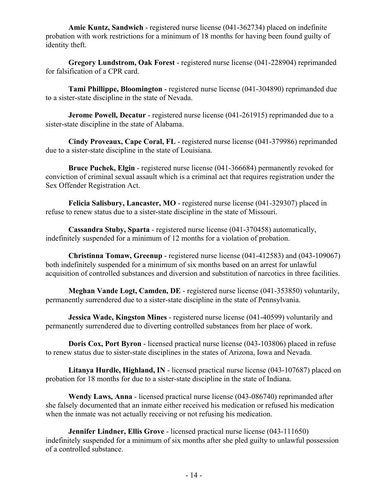**Amie Kuntz, Sandwich** - registered nurse license (041-362734) placed on indefinite probation with work restrictions for a minimum of 18 months for having been found guilty of identity theft.

**Gregory Lundstrom, Oak Forest** - registered nurse license (041-228904) reprimanded for falsification of a CPR card.

**Tami Phillippe, Bloomington** - registered nurse license (041-304890) reprimanded due to a sister-state discipline in the state of Nevada.

**Jerome Powell, Decatur** - registered nurse license (041-261915) reprimanded due to a sister-state discipline in the state of Alabama.

**Cindy Proveaux, Cape Coral, FL** - registered nurse license (041-379986) reprimanded due to a sister-state discipline in the state of Louisiana.

**Bruce Puchek, Elgin** - registered nurse license (041-366684) permanently revoked for conviction of criminal sexual assault which is a criminal act that requires registration under the Sex Offender Registration Act.

**Felicia Salisbury, Lancaster, MO** - registered nurse license (041-329307) placed in refuse to renew status due to a sister-state discipline in the state of Missouri.

**Cassandra Stuby, Sparta** - registered nurse license (041-370458) automatically, indefinitely suspended for a minimum of 12 months for a violation of probation.

**Christinna Tomaw, Greenup** - registered nurse license (041-412583) and (043-109067) both indefinitely suspended for a minimum of six months based on an arrest for unlawful acquisition of controlled substances and diversion and substitution of narcotics in three facilities.

**Meghan Vande Logt, Camden, DE** - registered nurse license (041-353850) voluntarily, permanently surrendered due to a sister-state discipline in the state of Pennsylvania.

**Jessica Wade, Kingston Mines** - registered nurse license (041-40599) voluntarily and permanently surrendered due to diverting controlled substances from her place of work.

**Doris Cox, Port Byron** - licensed practical nurse license (043-103806) placed in refuse to renew status due to sister-state disciplines in the states of Arizona, Iowa and Nevada.

**Litanya Hurdle, Highland, IN** - licensed practical nurse license (043-107687) placed on probation for 18 months for due to a sister-state discipline in the state of Indiana.

**Wendy Laws, Anna** - licensed practical nurse license (043-086740) reprimanded after she falsely documented that an inmate either received his medication or refused his medication when the inmate was not actually receiving or not refusing his medication.

**Jennifer Lindner, Ellis Grove** - licensed practical nurse license (043-111650) indefinitely suspended for a minimum of six months after she pled guilty to unlawful possession of a controlled substance.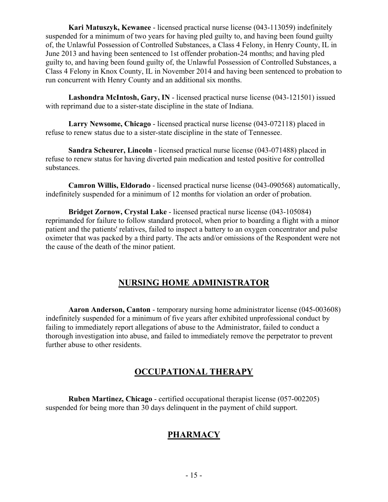**Kari Matuszyk, Kewanee** - licensed practical nurse license (043-113059) indefinitely suspended for a minimum of two years for having pled guilty to, and having been found guilty of, the Unlawful Possession of Controlled Substances, a Class 4 Felony, in Henry County, IL in June 2013 and having been sentenced to 1st offender probation-24 months; and having pled guilty to, and having been found guilty of, the Unlawful Possession of Controlled Substances, a Class 4 Felony in Knox County, IL in November 2014 and having been sentenced to probation to run concurrent with Henry County and an additional six months.

**Lashondra McIntosh, Gary, IN** - licensed practical nurse license (043-121501) issued with reprimand due to a sister-state discipline in the state of Indiana.

**Larry Newsome, Chicago** - licensed practical nurse license (043-072118) placed in refuse to renew status due to a sister-state discipline in the state of Tennessee.

**Sandra Scheurer, Lincoln** - licensed practical nurse license (043-071488) placed in refuse to renew status for having diverted pain medication and tested positive for controlled substances.

**Camron Willis, Eldorado** - licensed practical nurse license (043-090568) automatically, indefinitely suspended for a minimum of 12 months for violation an order of probation.

**Bridget Zornow, Crystal Lake** - licensed practical nurse license (043-105084) reprimanded for failure to follow standard protocol, when prior to boarding a flight with a minor patient and the patients' relatives, failed to inspect a battery to an oxygen concentrator and pulse oximeter that was packed by a third party. The acts and/or omissions of the Respondent were not the cause of the death of the minor patient.

# **NURSING HOME ADMINISTRATOR**

 **Aaron Anderson, Canton** - temporary nursing home administrator license (045-003608) indefinitely suspended for a minimum of five years after exhibited unprofessional conduct by failing to immediately report allegations of abuse to the Administrator, failed to conduct a thorough investigation into abuse, and failed to immediately remove the perpetrator to prevent further abuse to other residents.

#### **OCCUPATIONAL THERAPY**

 **Ruben Martinez, Chicago** - certified occupational therapist license (057-002205) suspended for being more than 30 days delinquent in the payment of child support.

# **PHARMACY**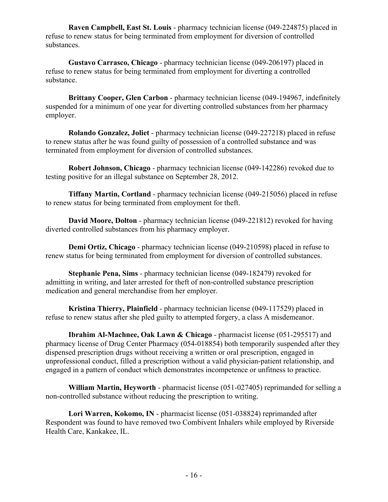**Raven Campbell, East St. Louis** - pharmacy technician license (049-224875) placed in refuse to renew status for being terminated from employment for diversion of controlled substances.

**Gustavo Carrasco, Chicago** - pharmacy technician license (049-206197) placed in refuse to renew status for being terminated from employment for diverting a controlled substance.

**Brittany Cooper, Glen Carbon** - pharmacy technician license (049-194967, indefinitely suspended for a minimum of one year for diverting controlled substances from her pharmacy employer.

**Rolando Gonzalez, Joliet** - pharmacy technician license (049-227218) placed in refuse to renew status after he was found guilty of possession of a controlled substance and was terminated from employment for diversion of controlled substances.

**Robert Johnson, Chicago** - pharmacy technician license (049-142286) revoked due to testing positive for an illegal substance on September 28, 2012.

**Tiffany Martin, Cortland** - pharmacy technician license (049-215056) placed in refuse to renew status for being terminated from employment for theft.

**David Moore, Dolton** - pharmacy technician license (049-221812) revoked for having diverted controlled substances from his pharmacy employer.

**Demi Ortiz, Chicago** - pharmacy technician license (049-210598) placed in refuse to renew status for being terminated from employment for diversion of controlled substances.

**Stephanie Pena, Sims** - pharmacy technician license (049-182479) revoked for admitting in writing, and later arrested for theft of non-controlled substance prescription medication and general merchandise from her employer.

**Kristina Thierry, Plainfield** - pharmacy technician license (049-117529) placed in refuse to renew status after she pled guilty to attempted forgery, a class A misdemeanor.

**Ibrahim Al-Machnee, Oak Lawn & Chicago** - pharmacist license (051-295517) and pharmacy license of Drug Center Pharmacy (054-018854) both temporarily suspended after they dispensed prescription drugs without receiving a written or oral prescription, engaged in unprofessional conduct, filled a prescription without a valid physician-patient relationship, and engaged in a pattern of conduct which demonstrates incompetence or unfitness to practice.

**William Martin, Heyworth** - pharmacist license (051-027405) reprimanded for selling a non-controlled substance without reducing the prescription to writing.

**Lori Warren, Kokomo, IN** - pharmacist license (051-038824) reprimanded after Respondent was found to have removed two Combivent Inhalers while employed by Riverside Health Care, Kankakee, IL.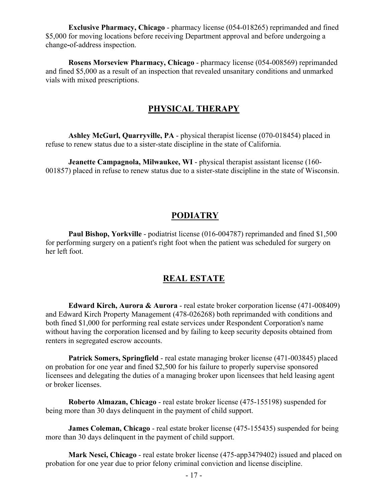**Exclusive Pharmacy, Chicago** - pharmacy license (054-018265) reprimanded and fined \$5,000 for moving locations before receiving Department approval and before undergoing a change**-**of-address inspection.

**Rosens Morseview Pharmacy, Chicago** - pharmacy license (054-008569) reprimanded and fined \$5,000 as a result of an inspection that revealed unsanitary conditions and unmarked vials with mixed prescriptions.

#### **PHYSICAL THERAPY**

**Ashley McGurl, Quarryville, PA** - physical therapist license (070-018454) placed in refuse to renew status due to a sister-state discipline in the state of California.

**Jeanette Campagnola, Milwaukee, WI** - physical therapist assistant license (160- 001857) placed in refuse to renew status due to a sister-state discipline in the state of Wisconsin.

#### **PODIATRY**

**Paul Bishop, Yorkville** - podiatrist license (016-004787) reprimanded and fined \$1,500 for performing surgery on a patient's right foot when the patient was scheduled for surgery on her left foot.

#### **REAL ESTATE**

**Edward Kirch, Aurora & Aurora** - real estate broker corporation license (471-008409) and Edward Kirch Property Management (478-026268) both reprimanded with conditions and both fined \$1,000 for performing real estate services under Respondent Corporation's name without having the corporation licensed and by failing to keep security deposits obtained from renters in segregated escrow accounts.

**Patrick Somers, Springfield** - real estate managing broker license (471-003845) placed on probation for one year and fined \$2,500 for his failure to properly supervise sponsored licensees and delegating the duties of a managing broker upon licensees that held leasing agent or broker licenses.

**Roberto Almazan, Chicago** - real estate broker license (475-155198) suspended for being more than 30 days delinquent in the payment of child support.

**James Coleman, Chicago** - real estate broker license (475-155435) suspended for being more than 30 days delinquent in the payment of child support.

**Mark Nesci, Chicago** - real estate broker license (475-app3479402) issued and placed on probation for one year due to prior felony criminal conviction and license discipline.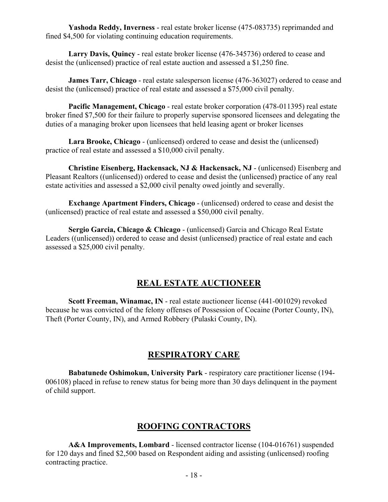**Yashoda Reddy, Inverness** - real estate broker license (475-083735) reprimanded and fined \$4,500 for violating continuing education requirements.

**Larry Davis, Quincy** - real estate broker license (476-345736) ordered to cease and desist the (unlicensed) practice of real estate auction and assessed a \$1,250 fine.

**James Tarr, Chicago** - real estate salesperson license (476-363027) ordered to cease and desist the (unlicensed) practice of real estate and assessed a \$75,000 civil penalty.

**Pacific Management, Chicago** - real estate broker corporation (478-011395) real estate broker fined \$7,500 for their failure to properly supervise sponsored licensees and delegating the duties of a managing broker upon licensees that held leasing agent or broker licenses

**Lara Brooke, Chicago** - (unlicensed) ordered to cease and desist the (unlicensed) practice of real estate and assessed a \$10,000 civil penalty.

**Christine Eisenberg, Hackensack, NJ & Hackensack, NJ** - (unlicensed) Eisenberg and Pleasant Realtors ((unlicensed)) ordered to cease and desist the (unlicensed) practice of any real estate activities and assessed a \$2,000 civil penalty owed jointly and severally.

**Exchange Apartment Finders, Chicago** - (unlicensed) ordered to cease and desist the (unlicensed) practice of real estate and assessed a \$50,000 civil penalty.

**Sergio Garcia, Chicago & Chicago** - (unlicensed) Garcia and Chicago Real Estate Leaders ((unlicensed)) ordered to cease and desist (unlicensed) practice of real estate and each assessed a \$25,000 civil penalty.

#### **REAL ESTATE AUCTIONEER**

**Scott Freeman, Winamac, IN** - real estate auctioneer license (441-001029) revoked because he was convicted of the felony offenses of Possession of Cocaine (Porter County, IN), Theft (Porter County, IN), and Armed Robbery (Pulaski County, IN).

#### **RESPIRATORY CARE**

**Babatunede Oshimokun, University Park** - respiratory care practitioner license (194- 006108) placed in refuse to renew status for being more than 30 days delinquent in the payment of child support.

# **ROOFING CONTRACTORS**

**A&A Improvements, Lombard** - licensed contractor license (104-016761) suspended for 120 days and fined \$2,500 based on Respondent aiding and assisting (unlicensed) roofing contracting practice.